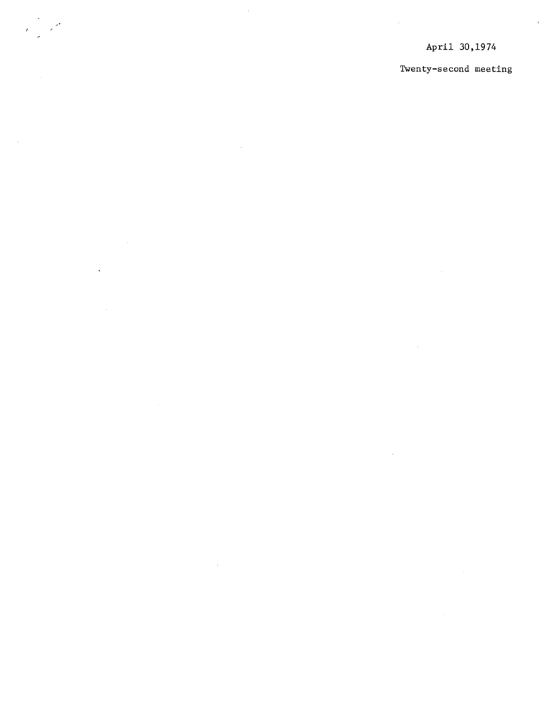$\delta$ 

 $\mathcal{L}^{\pm}$ 

J.

 $\bar{z}$ 

 $\sim$ 

 $\sim$ 

 $\bar{\gamma}$ 

 $\ddot{\phantom{a}}$ 

## Twenty-second meeting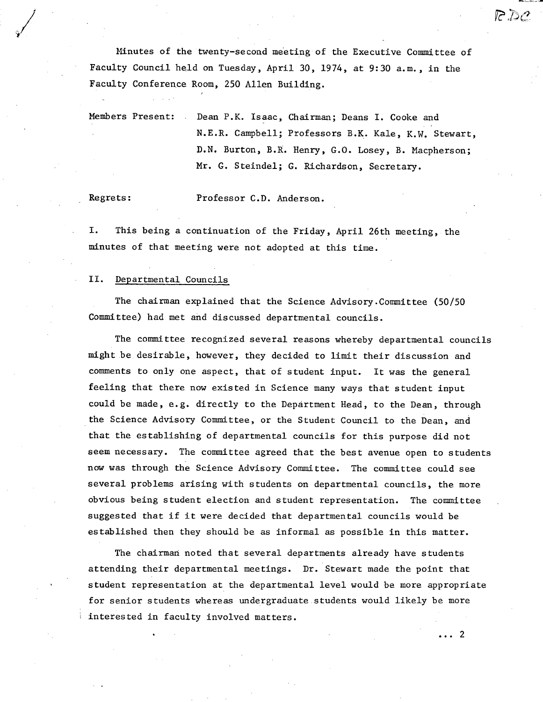Minutes of the twenty-second meeting of the Executive Committee of Faculty Council held on Tuesday, April 30, 1974, at 9:30 a.m., in the Faculty Conference Room, 250 Allen Building.

Members Present: Dean P.K. Isaac, Chairman; Deans I. Cooke and N.E.R. Campbell; Professors B.K. Kale, K.W. Stewart, D.N. Burton, B.R. Henry, G.O. Losey, B. Macpherson; Mr. G. Steindel; G. Richardson, Secretary.

Regrets: Professor C.D. Anderson.

I. This being a continuation of the Friday, April 26th meeting, the minutes of that meeting were not adopted at this time.

## II. Departmental Councils

The chairman explained that the Science Advisory .Committee (50/50 Committee) had met and discussed departmental councils.

The committee recognized several reasons whereby departmental councils might be desirable, however, they decided to limit their discussion and comments to only one aspect, that of student input. It was the general feeling that there now existed in Science many ways that student input could be made, e.g. directly to the Department Head, to the Dean, through the Science Advisory Committee, or the Student Council to the Dean, and that the establishing of departmental councils for this purpose did not seem necessary. The committee agreed that the best avenue open to students now was through the Science Advisory Committee. The committee could see several problems arising with students on departmental councils, the more obvious being student election and student representation. The committee suggested that if it were decided that departmental councils would be established then they should be as informal as possible in this matter.

The chairman noted that several departments already have students attending their departmental meetings. Dr. Stewart made the point that student representation at the departmental level would be more appropriate for senior students whereas undergraduate students would likely be more interested in faculty involved matters.

... 2

 $\mathcal{P} \mathcal{D} \mathcal{P}$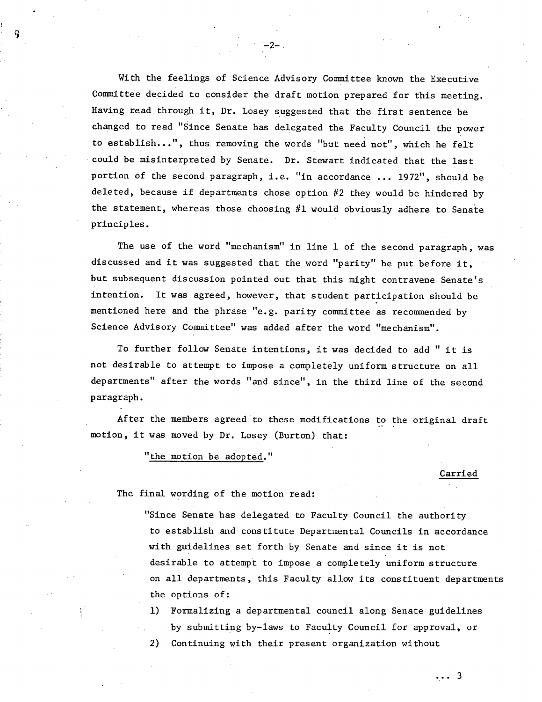With the feelings of Science Advisory Committee known the Executive Committee decided to consider the draft motion prepared for this meeting. Having read through it, Dr. Losey suggested that the first sentence be changed to read "Since Senate has delegated the Faculty Council the power to establish...", thus removing the words "but need not", which he felt could be misinterpreted by Senate. Dr. Stewart indicated that the last portion of the second paragraph, i.e. "in accordance ... 1972", should be deleted, because if departments chose option #2 they would be hindered by the statement, whereas those choosing #1 would obviously adhere to Senate principles.

-2-

The use of the word "mechanism" in line 1 of the second paragraph, was discussed and it was suggested that the word "parity" be put before it, but subsequent discussion pointed out that this might contravene Senate's intention. It was agreed, however, that student participation should be mentioned here and the phrase "e.g. parity committee as recommended by Science Advisory Committee" was added after the word "mechanism".

To further follow Senate intentions, it was decided to add " it is not desirable to attempt to impose a completely uniform structure on all departments" after the words "and since", in the third line of the second paragraph.

After the members agreed to these modifications to the original draft motion, it was moved by Dr. Losey (Burton) that:

"the motion be adopted."

Carried

... 3

The final wording of the motion read:

"Since Senate has delegated to Faculty Council the authority to establish and constitute Departmental Councils in accordance with guidelines set forth by Senate and since it is not desirable to attempt to impose a completely uniform structure on all departments, this Faculty allow its constituent departments the options of:

Formalizing a departmental council along Senate guidelines by submitting by-laws to Faculty Council for approval, or

2) Continuing with their present organization without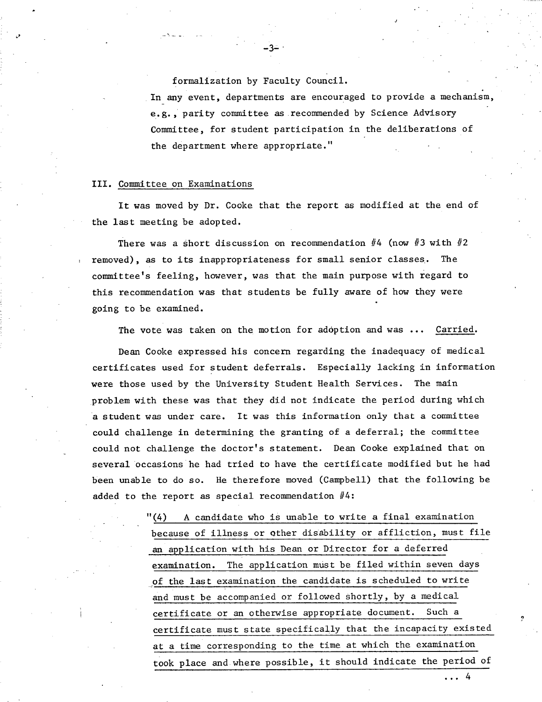formalization by Faculty Council.

 $-3-$ .

In any event, departments are encouraged to provide a mechanism, e.g., parity committee as recommended by Science Advisory Committee, for student participation in the deliberations of the department where appropriate."

J

## III. Committee on Examinations

It was moved by Dr. Cooke that the report as modified at the end of the last meeting be adopted.

There was a short discussion on recommendation  $#4$  (now  $#3$  with  $#2$ removed), as to its inappropriateness for small senior classes. The committee's feeling, however, was that the main purpose with regard to this recommendation was that students be fully aware of how they were going to be examined.

The vote was taken on the motion for adoption and was ... Carried.

Dean Cooke expressed his concern regarding the inadequacy of medical certificates used for student deferrals. Especially lacking in information were those used by the University Student Health Services. The main problem with these was that they did not indicate the period during which a student was under care. It was this information only that a committee could challenge in determining the granting of a deferral; the committee could not challenge the doctor's statement. Dean Cooke explained that on several occasions he had tried to have the certificate modified but he had been unable to do so. He therefore moved (Campbell) that the following be added to the report as special recommendation  $#4$ :

> "(4) A candidate who is unable to write a final examination because of illness or Qther disability or affliction, must file an application with his Dean or Director for a deferred examination. The application must be filed within seven days of the last examination the candidate is scheduled to write and must be accompanied or followed shortly, by a medical certificate or an otherwise appropriate document. Such a certificate must state specifically that the incapacity existed at a time corresponding to the time at which the examination took place and where possible, it should indicate the period of

> > ...4